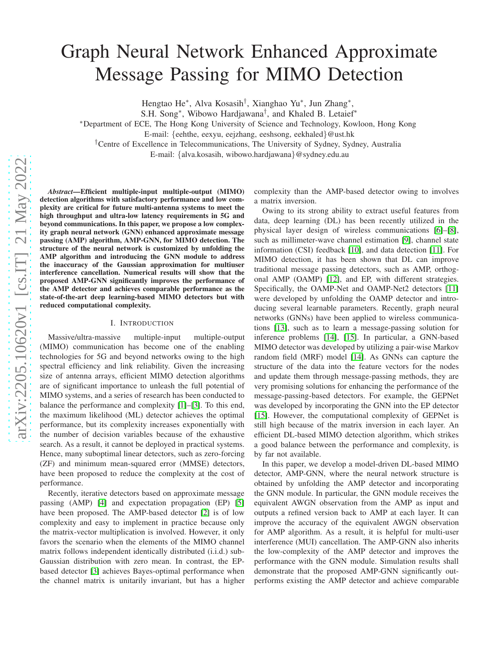# Graph Neural Network Enhanced Approximate Message Passing for MIMO Detection

Hengtao He<sup>∗</sup> , Alva Kosasih† , Xianghao Yu<sup>∗</sup> , Jun Zhang<sup>∗</sup> ,

S.H. Song<sup>∗</sup> , Wibowo Hardjawana† , and Khaled B. Letaief<sup>∗</sup>

<sup>∗</sup>Department of ECE, The Hong Kong University of Science and Technology, Kowloon, Hong Kong

E-mail: {eehthe, eexyu, eejzhang, eeshsong, eekhaled}@ust.hk

†Centre of Excellence in Telecommunications, The University of Sydney, Sydney, Australia

E-mail: {alva.kosasih, wibowo.hardjawana}@sydney.edu.au

*Abstract*—Efficient multiple-input multiple-output (MIMO) detection algorithms with satisfactory performance and low complexity are critical for future multi-antenna systems to meet the high throughput and ultra-low latency requirements in 5G and beyond communications. In this paper, we propose a low complexity graph neural network (GNN) enhanced approximate message passing (AMP) algorithm, AMP-GNN, for MIMO detection. The structure of the neural network is customized by unfolding the AMP algorithm and introducing the GNN module to address the inaccuracy of the Gaussian approximation for multiuser interference cancellation. Numerical results will show that the proposed AMP-GNN significantly improves the performance of the AMP detector and achieves comparable performance as the state-of-the-art deep learning-based MIMO detectors but with reduced computational complexity.

## I. INTRODUCTION

Massive/ultra-massive multiple-input multiple-output (MIMO) communication has become one of the enabling technologies for 5G and beyond networks owing to the high spectral efficiency and link reliability. Given the increasing size of antenna arrays, efficient MIMO detection algorithms are of significant importance to unleash the full potential of MIMO systems, and a series of research has been conducted to balance the performance and complexity [\[1\]](#page-5-0)–[\[3\]](#page-5-1). To this end, the maximum likelihood (ML) detector achieves the optimal performance, but its complexity increases exponentially with the number of decision variables because of the exhaustive search. As a result, it cannot be deployed in practical systems. Hence, many suboptimal linear detectors, such as zero-forcing (ZF) and minimum mean-squared error (MMSE) detectors, have been proposed to reduce the complexity at the cost of performance.

Recently, iterative detectors based on approximate message passing (AMP) [\[4\]](#page-5-2) and expectation propagation (EP) [\[5\]](#page-5-3) have been proposed. The AMP-based detector [\[2\]](#page-5-4) is of low complexity and easy to implement in practice because only the matrix-vector multiplication is involved. However, it only favors the scenario when the elements of the MIMO channel matrix follows independent identically distributed (i.i.d.) sub-Gaussian distribution with zero mean. In contrast, the EPbased detector [\[3\]](#page-5-1) achieves Bayes-optimal performance when the channel matrix is unitarily invariant, but has a higher complexity than the AMP-based detector owing to involves a matrix inversion.

Owing to its strong ability to extract useful features from data, deep learning (DL) has been recently utilized in the physical layer design of wireless communications [\[6\]](#page-5-5)–[\[8\]](#page-5-6), such as millimeter-wave channel estimation [\[9\]](#page-5-7), channel state information (CSI) feedback [\[10\]](#page-5-8), and data detection [\[11\]](#page-5-9). For MIMO detection, it has been shown that DL can improve traditional message passing detectors, such as AMP, orthogonal AMP (OAMP) [\[12\]](#page-5-10), and EP, with different strategies. Specifically, the OAMP-Net and OAMP-Net2 detectors [\[11\]](#page-5-9) were developed by unfolding the OAMP detector and introducing several learnable parameters. Recently, graph neural networks (GNNs) have been applied to wireless communications [\[13\]](#page-5-11), such as to learn a message-passing solution for inference problems [\[14\]](#page-5-12), [\[15\]](#page-6-0). In particular, a GNN-based MIMO detector was developed by utilizing a pair-wise Markov random field (MRF) model [\[14\]](#page-5-12). As GNNs can capture the structure of the data into the feature vectors for the nodes and update them through message-passing methods, they are very promising solutions for enhancing the performance of the message-passing-based detectors. For example, the GEPNet was developed by incorporating the GNN into the EP detector [\[15\]](#page-6-0). However, the computational complexity of GEPNet is still high because of the matrix inversion in each layer. An efficient DL-based MIMO detection algorithm, which strikes a good balance between the performance and complexity, is by far not available.

In this paper, we develop a model-driven DL-based MIMO detector, AMP-GNN, where the neural network structure is obtained by unfolding the AMP detector and incorporating the GNN module. In particular, the GNN module receives the equivalent AWGN observation from the AMP as input and outputs a refined version back to AMP at each layer. It can improve the accuracy of the equivalent AWGN observation for AMP algorithm. As a result, it is helpful for multi-user interference (MUI) cancellation. The AMP-GNN also inherits the low-complexity of the AMP detector and improves the performance with the GNN module. Simulation results shall demonstrate that the proposed AMP-GNN significantly outperforms existing the AMP detector and achieve comparable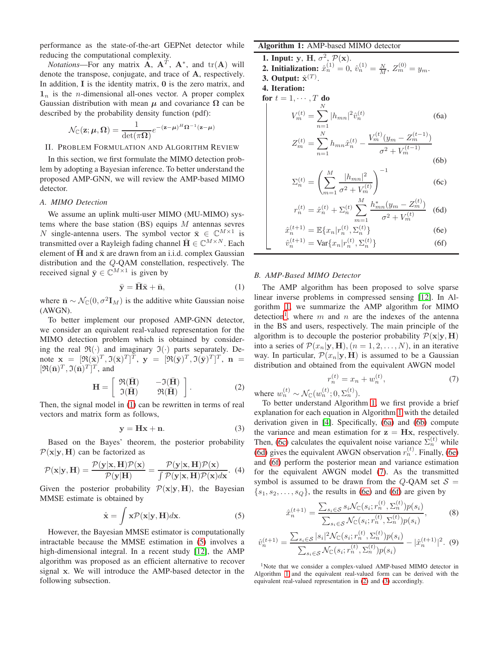performance as the state-of-the-art GEPNet detector while reducing the computational complexity.

*Notations*—For any matrix  $A$ ,  $A<sup>T</sup>$ ,  $A<sup>*</sup>$ , and  $tr(A)$  will denote the transpose, conjugate, and trace of A, respectively. In addition,  $I$  is the identity matrix,  $0$  is the zero matrix, and  $1_n$  is the *n*-dimensional all-ones vector. A proper complex Gaussian distribution with mean  $\mu$  and covariance  $\Omega$  can be described by the probability density function (pdf):

$$
\mathcal{N}_{\mathbb{C}}(\mathbf{z}; \boldsymbol{\mu}, \boldsymbol{\Omega}) = \frac{1}{\det(\pi \boldsymbol{\Omega})} e^{-(\mathbf{z} - \boldsymbol{\mu})^H \boldsymbol{\Omega}^{-1}(\mathbf{z} - \boldsymbol{\mu})}
$$

# II. PROBLEM FORMULATION AND ALGORITHM REVIEW

In this section, we first formulate the MIMO detection problem by adopting a Bayesian inference. To better understand the proposed AMP-GNN, we will review the AMP-based MIMO detector.

## *A. MIMO Detection*

We assume an uplink multi-user MIMO (MU-MIMO) systems where the base station (BS) equips  $M$  antennas sevres N single-antenna users. The symbol vector  $\bar{\mathbf{x}} \in \mathbb{C}^{M \times 1}$  is transmitted over a Rayleigh fading channel  $\bar{\mathbf{H}} \in \mathbb{C}^{M \times N}$ . Each element of  $\bar{H}$  and  $\bar{x}$  are drawn from an i.i.d. complex Gaussian distribution and the Q-QAM constellation, respectively. The received signal  $\bar{y} \in \mathbb{C}^{M \times 1}$  is given by

<span id="page-1-0"></span>
$$
\bar{\mathbf{y}} = \bar{\mathbf{H}}\bar{\mathbf{x}} + \bar{\mathbf{n}},\tag{1}
$$

where  $\bar{\mathbf{n}} \sim \mathcal{N}_{\mathbb{C}}(0, \sigma^2 \mathbf{I}_M)$  is the additive white Gaussian noise (AWGN).

To better implement our proposed AMP-GNN detector, we consider an equivalent real-valued representation for the MIMO detection problem which is obtained by considering the real  $\mathfrak{R}(\cdot)$  and imaginary  $\mathfrak{I}(\cdot)$  parts separately. Denote  $\mathbf{x} = [\Re(\bar{\mathbf{x}})^T, \Im(\bar{\mathbf{x}})^T]^T$ ,  $\mathbf{y} = [\Re(\bar{\mathbf{y}})^T, \Im(\bar{\mathbf{y}})^T]^T$ ,  $\mathbf{n} =$  $[\Re(\bar{\mathbf{n}})^T, \Im(\bar{\mathbf{n}})^T]^T$ , and

<span id="page-1-11"></span>
$$
\mathbf{H} = \begin{bmatrix} \Re(\bar{\mathbf{H}}) & -\Im(\bar{\mathbf{H}}) \\ \Im(\bar{\mathbf{H}}) & \Re(\bar{\mathbf{H}}) \end{bmatrix}.
$$
 (2)

Then, the signal model in [\(1\)](#page-1-0) can be rewritten in terms of real vectors and matrix form as follows,

<span id="page-1-12"></span>
$$
y = Hx + n.\t\t(3)
$$

Based on the Bayes' theorem, the posterior probability  $\mathcal{P}(\mathbf{x}|\mathbf{y},\mathbf{H})$  can be factorized as

$$
\mathcal{P}(\mathbf{x}|\mathbf{y}, \mathbf{H}) = \frac{\mathcal{P}(\mathbf{y}|\mathbf{x}, \mathbf{H})\mathcal{P}(\mathbf{x})}{\mathcal{P}(\mathbf{y}|\mathbf{H})} = \frac{\mathcal{P}(\mathbf{y}|\mathbf{x}, \mathbf{H})\mathcal{P}(\mathbf{x})}{\int \mathcal{P}(\mathbf{y}|\mathbf{x}, \mathbf{H})\mathcal{P}(\mathbf{x})d\mathbf{x}}.
$$
 (4)

Given the posterior probability  $\mathcal{P}(\mathbf{x}|\mathbf{y},\mathbf{H})$ , the Bayesian MMSE estimate is obtained by

<span id="page-1-1"></span>
$$
\hat{\mathbf{x}} = \int \mathbf{x} \mathcal{P}(\mathbf{x}|\mathbf{y}, \mathbf{H}) d\mathbf{x}.
$$
 (5)

However, the Bayesian MMSE estimator is computationally intractable because the MMSE estimation in [\(5\)](#page-1-1) involves a high-dimensional integral. In a recent study [\[12\]](#page-5-10), the AMP algorithm was proposed as an efficient alternative to recover signal x. We will introduce the AMP-based detector in the following subsection.

## <span id="page-1-2"></span>Algorithm 1: AMP-based MIMO detector

**1. Input:** y, H,  $\sigma^2$ ,  $\mathcal{P}(\mathbf{x})$ .

**2. Initialization:** 
$$
\hat{x}_n^{(1)} = 0
$$
,  $\hat{v}_n^{(1)} = \frac{N}{M}$ ,  $Z_m^{(0)} = y_m$ .

3. Output:  $\hat{\mathbf{x}}^{(T)}$ . 4. Iteration:

for  $t = 1, \cdots, T$  do

N

<span id="page-1-4"></span>
$$
V_m^{(t)} = \sum_{n=1}^{\infty} |h_{mn}|^2 \hat{v}_n^{(t)}
$$
(6a)  

$$
Z_m^{(t)} = \sum_{n=1}^N h_{mn} \hat{x}_n^{(t)} - \frac{V_m^{(t)}(y_m - Z_m^{(t-1)})}{\sigma^2 + V_m^{(t-1)}}
$$
(6b)

<span id="page-1-6"></span><span id="page-1-5"></span>
$$
\Sigma_n^{(t)} = \left(\sum_{m=1}^M \frac{|h_{mn}|^2}{\sigma^2 + V_m^{(t)}}\right)^{-1}
$$
 (6c)

<span id="page-1-9"></span><span id="page-1-8"></span><span id="page-1-7"></span>
$$
r_n^{(t)} = \hat{x}_n^{(t)} + \Sigma_n^{(t)} \sum_{m=1}^M \frac{h_{mn}^*(y_m - Z_m^{(t)})}{\sigma^2 + V_m^{(t)}} \tag{6d}
$$

$$
\hat{x}_n^{(t+1)} = \mathbb{E}\{x_n | r_n^{(t)}, \Sigma_n^{(t)}\}\tag{6e}
$$

$$
\hat{v}_n^{(t+1)} = \text{Var}\{x_n|r_n^{(t)}, \Sigma_n^{(t)}\}\tag{6f}
$$

#### <span id="page-1-13"></span>*B. AMP-Based MIMO Detector*

The AMP algorithm has been proposed to solve sparse linear inverse problems in compressed sensing [\[12\]](#page-5-10). In Algorithm [1,](#page-1-2) we summarize the AMP algorithm for MIMO detection<sup>[1](#page-1-3)</sup>, where m and n are the indexes of the antenna in the BS and users, respectively. The main principle of the algorithm is to decouple the posterior probability  $\mathcal{P}(\mathbf{x}|\mathbf{y}, \mathbf{H})$ into a series of  $\mathcal{P}(x_n|\mathbf{y},\mathbf{H})$ ,  $(n = 1, 2, ..., N)$ , in an iterative way. In particular,  $\mathcal{P}(x_n|\mathbf{y},\mathbf{H})$  is assumed to be a Gaussian distribution and obtained from the equivalent AWGN model

<span id="page-1-10"></span>
$$
r_n^{(t)} = x_n + w_n^{(t)},
$$
\n(7)

where  $w_n^{(t)} \sim \mathcal{N}_{\mathbb{C}}(w_n^{(t)}; 0, \Sigma_n^{(t)})$ .

To better understand Algorithm [1,](#page-1-2) we first provide a brief explanation for each equation in Algorithm [1](#page-1-2) with the detailed derivation given in [\[4\]](#page-5-2). Specifically, [\(6a\)](#page-1-4) and [\(6b\)](#page-1-5) compute the variance and mean estimation for  $z = Hx$ , respectively. Then, [\(6c\)](#page-1-6) calculates the equivalent noise variance  $\sum_{n=1}^{N}$  while [\(6d\)](#page-1-7) gives the equivalent AWGN observation  $r_n^{(t)}$ . Finally, [\(6e\)](#page-1-8) and [\(6f\)](#page-1-9) perform the posterior mean and variance estimation for the equivalent AWGN model [\(7\)](#page-1-10). As the transmitted symbol is assumed to be drawn from the Q-QAM set  $S =$  $\{s_1, s_2, \ldots, s_Q\}$ , the results in [\(6e\)](#page-1-8) and [\(6f\)](#page-1-9) are given by

$$
\hat{x}_n^{(t+1)} = \frac{\sum_{s_i \in \mathcal{S}} s_i \mathcal{N}_{\mathbb{C}}(s_i; r_n^{(t)}, \Sigma_n^{(t)}) p(s_i)}{\sum_{s_i \in \mathcal{S}} \mathcal{N}_{\mathbb{C}}(s_i; r_n^{(t)}, \Sigma_n^{(t)}) p(s_i)},
$$
(8)

$$
\hat{v}_n^{(t+1)} = \frac{\sum_{s_i \in \mathcal{S}} |s_i|^2 \mathcal{N}_{\mathbb{C}}(s_i; r_n^{(t)}, \Sigma_n^{(t)}) p(s_i)}{\sum_{s_i \in \mathcal{S}} \mathcal{N}_{\mathbb{C}}(s_i; r_n^{(t)}, \Sigma_n^{(t)}) p(s_i)} - |\hat{x}_n^{(t+1)}|^2. \tag{9}
$$

<span id="page-1-3"></span><sup>1</sup>Note that we consider a complex-valued AMP-based MIMO detector in Algorithm [1](#page-1-2) and the equivalent real-valued form can be derived with the equivalent real-valued representation in [\(2\)](#page-1-11) and [\(3\)](#page-1-12) accordingly.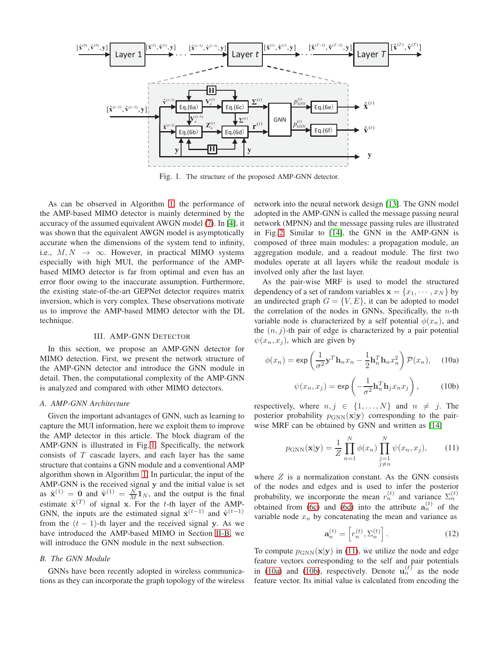<span id="page-2-0"></span>

Fig. 1. The structure of the proposed AMP-GNN detector.

As can be observed in Algorithm [1,](#page-1-2) the performance of the AMP-based MIMO detector is mainly determined by the accuracy of the assumed equivalent AWGN model [\(7\)](#page-1-10). In [\[4\]](#page-5-2), it was shown that the equivalent AWGN model is asymptotically accurate when the dimensions of the system tend to infinity, i.e.,  $M, N \rightarrow \infty$ . However, in practical MIMO systems especially with high MUI, the performance of the AMPbased MIMO detector is far from optimal and even has an error floor owing to the inaccurate assumption. Furthermore, the existing state-of-the-art GEPNet detector requires matrix inversion, which is very complex. These observations motivate us to improve the AMP-based MIMO detector with the DL technique.

## III. AMP-GNN DETECTOR

In this section, we propose an AMP-GNN detector for MIMO detection. First, we present the network structure of the AMP-GNN detector and introduce the GNN module in detail. Then, the computational complexity of the AMP-GNN is analyzed and compared with other MIMO detectors.

## *A. AMP-GNN Architecture*

Given the important advantages of GNN, such as learning to capture the MUI information, here we exploit them to improve the AMP detector in this article. The block diagram of the AMP-GNN is illustrated in Fig. [1.](#page-2-0) Specifically, the network consists of  $T$  cascade layers, and each layer has the same structure that contains a GNN module and a conventional AMP algorithm shown in Algorithm [1.](#page-1-2) In particular, the input of the AMP-GNN is the received signal y and the initial value is set as  $\hat{\mathbf{x}}^{(1)} = \mathbf{0}$  and  $\hat{\mathbf{v}}^{(1)} = \frac{N}{M} \mathbf{1}_N$ , and the output is the final estimate  $\hat{\mathbf{x}}^{(T)}$  of signal x. For the t-th layer of the AMP-GNN, the inputs are the estimated signal  $\hat{\mathbf{x}}^{(t-1)}$  and  $\hat{\mathbf{v}}^{(t-1)}$ from the  $(t - 1)$ -th layer and the received signal y. As we have introduced the AMP-based MIMO in Section [II-B,](#page-1-13) we will introduce the GNN module in the next subsection.

## *B. The GNN Module*

GNNs have been recently adopted in wireless communications as they can incorporate the graph topology of the wireless network into the neural network design [\[13\]](#page-5-11). The GNN model adopted in the AMP-GNN is called the message passing neural network (MPNN) and the message passing rules are illustrated in Fig. [2.](#page-3-0) Similar to [\[14\]](#page-5-12), the GNN in the AMP-GNN is composed of three main modules: a propagation module, an aggregation module, and a readout module. The first two modules operate at all layers while the readout module is involved only after the last layer.

As the pair-wise MRF is used to model the structured dependency of a set of random variables  $\mathbf{x} = \{x_1, \dots, x_N\}$  by an undirected graph  $G = \{V, E\}$ , it can be adopted to model the correlation of the nodes in GNNs. Specifically, the  $n$ -th variable node is characterized by a self potential  $\phi(x_n)$ , and the  $(n, j)$ -th pair of edge is characterized by a pair potential  $\psi(x_n, x_j)$ , which are given by

<span id="page-2-2"></span>
$$
\phi(x_n) = \exp\left(\frac{1}{\sigma^2} \mathbf{y}^T \mathbf{h}_n x_n - \frac{1}{2} \mathbf{h}_n^T \mathbf{h}_n x_n^2\right) \mathcal{P}(x_n), \quad (10a)
$$

<span id="page-2-3"></span>
$$
\psi(x_n, x_j) = \exp\left(-\frac{1}{\sigma^2} \mathbf{h}_n^T \mathbf{h}_j x_n x_j\right),\tag{10b}
$$

respectively, where  $n, j \in \{1, ..., N\}$  and  $n \neq j$ . The posterior probability  $p_{\text{GNN}}(\mathbf{x}|\mathbf{y})$  corresponding to the pairwise MRF can be obtained by GNN and written as [\[14\]](#page-5-12)

<span id="page-2-1"></span>
$$
p_{\text{GNN}}(\mathbf{x}|\mathbf{y}) = \frac{1}{Z} \prod_{n=1}^{N} \phi(x_n) \prod_{\substack{j=1 \ j \neq n}}^{N} \psi(x_n, x_j), \quad (11)
$$

where  $Z$  is a normalization constant. As the GNN consists of the nodes and edges and is used to infer the posterior probability, we incorporate the mean  $r_n^{(t)}$  and variance  $\Sigma_n^{(t)}$ obtained from [\(6c\)](#page-1-6) and [\(6d\)](#page-1-7) into the attribute  $a_n^{(t)}$  of the variable node  $x_n$  by concatenating the mean and variance as

$$
\mathbf{a}_n^{(t)} = \left[ r_n^{(t)}, \Sigma_n^{(t)} \right]. \tag{12}
$$

To compute  $p_{\text{GNN}}(\mathbf{x}|\mathbf{y})$  in [\(11\)](#page-2-1), we utilize the node and edge feature vectors corresponding to the self and pair potentials in [\(10a\)](#page-2-2) and [\(10b\)](#page-2-3), respectively. Denote  $u_n^{(\ell)}$  as the node feature vector. Its initial value is calculated from encoding the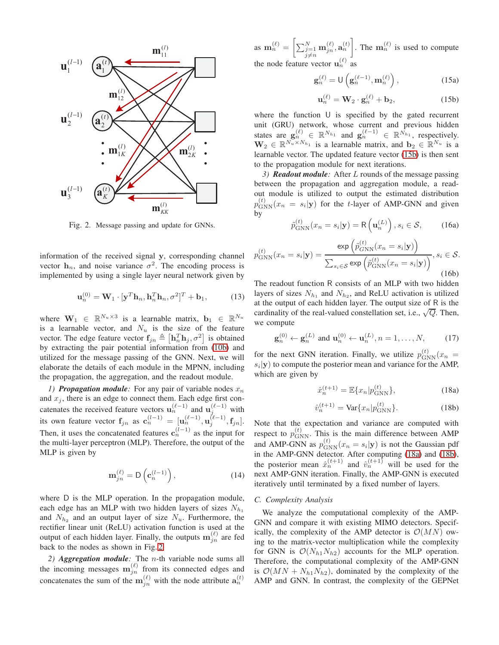<span id="page-3-0"></span>

Fig. 2. Message passing and update for GNNs.

information of the received signal y, corresponding channel vector  $h_n$ , and noise variance  $\sigma^2$ . The encoding process is implemented by using a single layer neural network given by

$$
\mathbf{u}_n^{(0)} = \mathbf{W}_1 \cdot [\mathbf{y}^T \mathbf{h}_n, \mathbf{h}_n^T \mathbf{h}_n, \sigma^2]^T + \mathbf{b}_1,\tag{13}
$$

where  $\mathbf{W}_1 \in \mathbb{R}^{N_u \times 3}$  is a learnable matrix,  $\mathbf{b}_1 \in \mathbb{R}^{N_u}$ is a learnable vector, and  $N_u$  is the size of the feature vector. The edge feature vector  $f_{jn} \triangleq [\mathbf{h}_n^T \mathbf{h}_j, \sigma^2]$  is obtained by extracting the pair potential information from [\(10b\)](#page-2-3) and utilized for the message passing of the GNN. Next, we will elaborate the details of each module in the MPNN, including the propagation, the aggregation, and the readout module.

*1)* **Propagation module**: For any pair of variable nodes  $x_n$ and  $x_i$ , there is an edge to connect them. Each edge first concatenates the received feature vectors  $\mathbf{u}_n^{(\ell-1)}$  and  $\mathbf{u}_j^{(\ell-1)}$  with its own feature vector  $\mathbf{f}_{jn}$  as  $\mathbf{c}_n^{(l-1)} = [\mathbf{u}_n^{(\ell-1)}, \mathbf{u}_j^{(\ell-1)}, \mathbf{f}_{jn}].$ Then, it uses the concatenated features  $c_n^{(l-1)}$  as the input for the multi-layer perceptron (MLP). Therefore, the output of the MLP is given by

$$
\mathbf{m}_{jn}^{(\ell)} = \mathsf{D}\left(\mathbf{c}_n^{(l-1)}\right),\tag{14}
$$

where D is the MLP operation. In the propagation module, each edge has an MLP with two hidden layers of sizes  $N_{h_1}$ and  $N_{h_2}$  and an output layer of size  $N_u$ . Furthermore, the rectifier linear unit (ReLU) activation function is used at the output of each hidden layer. Finally, the outputs  $\mathbf{m}_{jn}^{(\ell)}$  are fed back to the nodes as shown in Fig. [2.](#page-3-0)

*2) Aggregation module:* The n-th variable node sums all the incoming messages  $\mathbf{m}_{jn}^{(\ell)}$  from its connected edges and concatenates the sum of the  $m_{jn}^{(\ell)}$  with the node attribute  $a_n^{(t)}$ 

as  $\mathbf{m}_n^{(\ell)} = \left[ \sum_{\substack{j=1 \ j \neq n}}^N \mathbf{m}_{jn}^{(\ell)}, \mathbf{a}_n^{(t)} \right]$ . The  $\mathbf{m}_n^{(\ell)}$  is used to compute the node feature vector  $\mathbf{u}_n^{(\ell)}$  as

$$
\mathbf{g}_n^{(\ell)} = \mathsf{U}\left(\mathbf{g}_n^{(\ell-1)}, \mathbf{m}_n^{(\ell)}\right),\tag{15a}
$$

<span id="page-3-1"></span>
$$
\mathbf{u}_n^{(\ell)} = \mathbf{W}_2 \cdot \mathbf{g}_n^{(\ell)} + \mathbf{b}_2,\tag{15b}
$$

where the function  $U$  is specified by the gated recurrent unit (GRU) network, whose current and previous hidden states are  $\mathbf{g}_n^{(\ell)} \in \mathbb{R}^{N_{h_1}}$  and  $\mathbf{g}_n^{(\ell-1)} \in \mathbb{R}^{N_{h_1}}$ , respectively.  $\mathbf{W}_2 \in \mathbb{R}^{N_u \times N_{h_1}}$  is a learnable matrix, and  $\mathbf{b}_2 \in \mathbb{R}^{N_u}$  is a learnable vector. The updated feature vector [\(15b\)](#page-3-1) is then sent to the propagation module for next iterations.

*3) Readout module:* After L rounds of the message passing between the propagation and aggregation module, a readout module is utilized to output the estimated distribution  $p_{\text{GNN}}^{(t)}(x_n = s_i | \mathbf{y})$  for the t-layer of AMP-GNN and given by

$$
\tilde{p}_{\text{GNN}}^{(t)}(x_n = s_i | \mathbf{y}) = \mathsf{R}\left(\mathbf{u}_n^{(L)}\right), s_i \in \mathcal{S}, \tag{16a}
$$

$$
p_{\text{GNN}}^{(t)}(x_n = s_i | \mathbf{y}) = \frac{\exp\left(\tilde{p}_{\text{GNN}}^{(t)}(x_n = s_i | \mathbf{y})\right)}{\sum_{s_i \in \mathcal{S}} \exp\left(\tilde{p}_{\text{GNN}}^{(t)}(x_n = s_i | \mathbf{y})\right)}, s_i \in \mathcal{S}.
$$
\n(16b)

The readout function R consists of an MLP with two hidden layers of sizes  $N_{h_1}$  and  $N_{h_2}$ , and ReLU activation is utilized at the output of each hidden layer. The output size of R is the cardinality of the real-valued constellation set, i.e.,  $\sqrt{Q}$ . Then, we compute

$$
\mathbf{g}_n^{(0)} \leftarrow \mathbf{g}_n^{(L)} \text{ and } \mathbf{u}_n^{(0)} \leftarrow \mathbf{u}_n^{(L)}, n = 1, \dots, N, \quad (17)
$$

for the next GNN iteration. Finally, we utilize  $p_{\text{GNN}}^{(t)}(x_n)$  $s_i$ **y**) to compute the posterior mean and variance for the AMP, which are given by

<span id="page-3-2"></span>
$$
\hat{x}_n^{(t+1)} = \mathbb{E}\{x_n|p_{\text{GNN}}^{(t)}\},\tag{18a}
$$

<span id="page-3-3"></span>
$$
\hat{v}_n^{(t+1)} = \text{Var}\{x_n|p_{\text{GNN}}^{(t)}\}.
$$
\n(18b)

Note that the expectation and variance are computed with respect to  $p_{\text{GNN}}^{(t)}$ . This is the main difference between AMP and AMP-GNN as  $p_{\text{GNN}}^{(t)}(x_n = s_i | \mathbf{y})$  is not the Gaussian pdf in the AMP-GNN detector. After computing [\(18a\)](#page-3-2) and [\(18b\)](#page-3-3), the posterior mean  $\hat{x}_n^{(t+1)}$  and  $\hat{v}_n^{(t+1)}$  will be used for the next AMP-GNN iteration. Finally, the AMP-GNN is executed iteratively until terminated by a fixed number of layers.

#### *C. Complexity Analysis*

We analyze the computational complexity of the AMP-GNN and compare it with existing MIMO detectors. Specifically, the complexity of the AMP detector is  $\mathcal{O}(MN)$  owing to the matrix-vector multiplication while the complexity for GNN is  $\mathcal{O}(N_{h1}N_{h2})$  accounts for the MLP operation. Therefore, the computational complexity of the AMP-GNN is  $\mathcal{O}(MN + N_{h1}N_{h2})$ , dominated by the complexity of the AMP and GNN. In contrast, the complexity of the GEPNet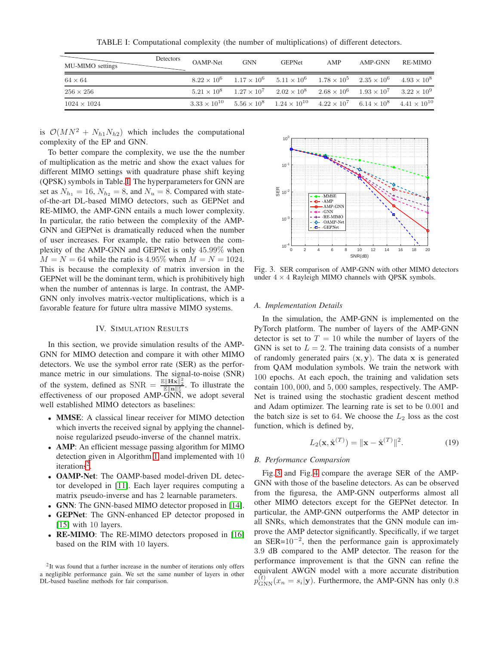TABLE I: Computational complexity (the number of multiplications) of different detectors.

<span id="page-4-0"></span>

| MU-MIMO settings   | Detectors | <b>OAMP-Net</b>       | <b>GNN</b>         | <b>GEPNet</b>                                                                     | AMP | AMP-GNN | RE-MIMO              |
|--------------------|-----------|-----------------------|--------------------|-----------------------------------------------------------------------------------|-----|---------|----------------------|
| $64 \times 64$     |           | $8.22 \times 10^{6}$  |                    | $1.17 \times 10^6$ $5.11 \times 10^6$ $1.78 \times 10^5$ $2.35 \times 10^6$       |     |         | $4.93 \times 10^{8}$ |
| $256 \times 256$   |           | $5.21 \times 10^8$    |                    | $1.27 \times 10^7$ $2.02 \times 10^8$ $2.68 \times 10^6$ $1.93 \times 10^7$       |     |         | $3.22 \times 10^{9}$ |
| $1024 \times 1024$ |           | $3.33 \times 10^{10}$ | $5.56 \times 10^8$ | $1.24 \times 10^{10}$ $4.22 \times 10^7$ $6.14 \times 10^8$ $4.41 \times 10^{10}$ |     |         |                      |

is  $\mathcal{O}(MN^2 + N_{h1}N_{h2})$  which includes the computational complexity of the EP and GNN.

To better compare the complexity, we use the the number of multiplication as the metric and show the exact values for different MIMO settings with quadrature phase shift keying (QPSK) symbols in Table. [I.](#page-4-0) The hyperparameters for GNN are set as  $N_{h_1} = 16$ ,  $N_{h_2} = 8$ , and  $N_u = 8$ . Compared with stateof-the-art DL-based MIMO detectors, such as GEPNet and RE-MIMO, the AMP-GNN entails a much lower complexity. In particular, the ratio between the complexity of the AMP-GNN and GEPNet is dramatically reduced when the number of user increases. For example, the ratio between the complexity of the AMP-GNN and GEPNet is only 45.99% when  $M = N = 64$  while the ratio is 4.95% when  $M = N = 1024$ . This is because the complexity of matrix inversion in the GEPNet will be the dominant term, which is prohibitively high when the number of antennas is large. In contrast, the AMP-GNN only involves matrix-vector multiplications, which is a favorable feature for future ultra massive MIMO systems.

## IV. SIMULATION RESULTS

In this section, we provide simulation results of the AMP-GNN for MIMO detection and compare it with other MIMO detectors. We use the symbol error rate (SER) as the performance metric in our simulations. The signal-to-noise (SNR) of the system, defined as SNR =  $\frac{\mathbb{E} \|\mathbf{H} \mathbf{x}\|_2^2}{\mathbb{E} \|\mathbf{n}\|_2^2}$ . To illustrate the effectiveness of our proposed AMP-GNN, we adopt several well established MIMO detectors as baselines:

- MMSE: A classical linear receiver for MIMO detection which inverts the received signal by applying the channelnoise regularized pseudo-inverse of the channel matrix.
- AMP: An efficient message passing algorithm for MIMO detection given in Algorithm [1](#page-1-2) and implemented with 10 iterations<sup>[2](#page-4-1)</sup>.
- OAMP-Net: The OAMP-based model-driven DL detector developed in [\[11\]](#page-5-9). Each layer requires computing a matrix pseudo-inverse and has 2 learnable parameters.
- GNN: The GNN-based MIMO detector proposed in [\[14\]](#page-5-12).
- GEPNet: The GNN-enhanced EP detector proposed in [\[15\]](#page-6-0) with 10 layers.
- **RE-MIMO**: The RE-MIMO detectors proposed in [\[16\]](#page-6-1) based on the RIM with 10 layers.

<span id="page-4-1"></span>

<span id="page-4-2"></span>

Fig. 3. SER comparison of AMP-GNN with other MIMO detectors under  $4 \times 4$  Rayleigh MIMO channels with QPSK symbols.

## *A. Implementation Details*

In the simulation, the AMP-GNN is implemented on the PyTorch platform. The number of layers of the AMP-GNN detector is set to  $T = 10$  while the number of layers of the GNN is set to  $L = 2$ . The training data consists of a number of randomly generated pairs  $(x, y)$ . The data x is generated from QAM modulation symbols. We train the network with 100 epochs. At each epoch, the training and validation sets contain 100, 000, and 5, 000 samples, respectively. The AMP-Net is trained using the stochastic gradient descent method and Adam optimizer. The learning rate is set to be 0.001 and the batch size is set to 64. We choose the  $L_2$  loss as the cost function, which is defined by,

$$
L_2(\mathbf{x}, \hat{\mathbf{x}}^{(T)}) = ||\mathbf{x} - \hat{\mathbf{x}}^{(T)}||^2.
$$
 (19)

#### *B. Performance Comparsion*

Fig. [3](#page-4-2) and Fig. [4](#page-5-13) compare the average SER of the AMP-GNN with those of the baseline detectors. As can be observed from the figuresa, the AMP-GNN outperforms almost all other MIMO detectors except for the GEPNet detector. In particular, the AMP-GNN outperforms the AMP detector in all SNRs, which demonstrates that the GNN module can improve the AMP detector significantly. Specifically, if we target an SER= $10^{-2}$ , then the performance gain is approximately 3.9 dB compared to the AMP detector. The reason for the performance improvement is that the GNN can refine the equivalent AWGN model with a more accurate distribution  $p_{\text{GNN}}^{(t)}(x_n = s_i | \mathbf{y})$ . Furthermore, the AMP-GNN has only 0.8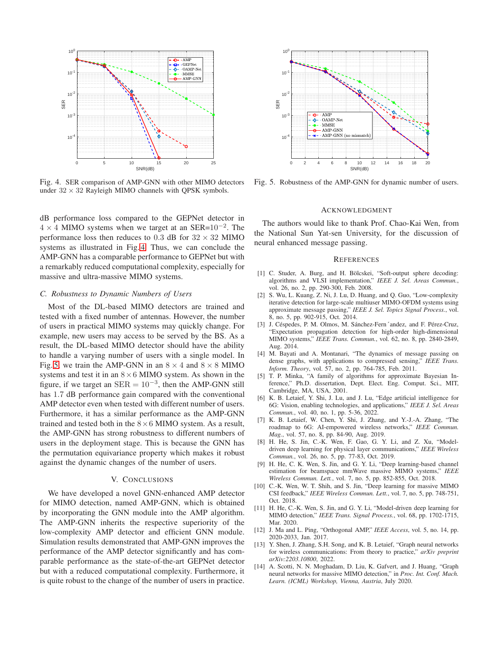<span id="page-5-13"></span>

Fig. 4. SER comparison of AMP-GNN with other MIMO detectors under  $32 \times 32$  Rayleigh MIMO channels with QPSK symbols.

dB performance loss compared to the GEPNet detector in  $4 \times 4$  MIMO systems when we target at an SER= $10^{-2}$ . The performance loss then reduces to 0.3 dB for  $32 \times 32$  MIMO systems as illustrated in Fig. [4.](#page-5-13) Thus, we can conclude the AMP-GNN has a comparable performance to GEPNet but with a remarkably reduced computational complexity, especially for massive and ultra-massive MIMO systems.

#### *C. Robustness to Dynamic Numbers of Users*

Most of the DL-based MIMO detectors are trained and tested with a fixed number of antennas. However, the number of users in practical MIMO systems may quickly change. For example, new users may access to be served by the BS. As a result, the DL-based MIMO detector should have the ability to handle a varying number of users with a single model. In Fig. [5,](#page-5-14) we train the AMP-GNN in an  $8 \times 4$  and  $8 \times 8$  MIMO systems and test it in an  $8 \times 6$  MIMO system. As shown in the figure, if we target an  $\text{SER} = 10^{-3}$ , then the AMP-GNN still has 1.7 dB performance gain compared with the conventional AMP detector even when tested with different number of users. Furthermore, it has a similar performance as the AMP-GNN trained and tested both in the  $8 \times 6$  MIMO system. As a result, the AMP-GNN has strong robustness to different numbers of users in the deployment stage. This is because the GNN has the permutation equivariance property which makes it robust against the dynamic changes of the number of users.

## V. CONCLUSIONS

We have developed a novel GNN-enhanced AMP detector for MIMO detection, named AMP-GNN, which is obtained by incorporating the GNN module into the AMP algorithm. The AMP-GNN inherits the respective superiority of the low-complexity AMP detector and efficient GNN module. Simulation results demonstrated that AMP-GNN improves the performance of the AMP detector significantly and has comparable performance as the state-of-the-art GEPNet detector but with a reduced computational complexity. Furthermore, it is quite robust to the change of the number of users in practice.

<span id="page-5-14"></span>

Fig. 5. Robustness of the AMP-GNN for dynamic number of users.

#### ACKNOWLEDGMENT

The authors would like to thank Prof. Chao-Kai Wen, from the National Sun Yat-sen University, for the discussion of neural enhanced message passing.

#### **REFERENCES**

- <span id="page-5-0"></span>[1] C. Studer, A. Burg, and H. Bölcskei, "Soft-output sphere decoding: algorithms and VLSI implementation," *IEEE J. Sel. Areas Commun.*, vol. 26, no. 2, pp. 290-300, Feb. 2008.
- <span id="page-5-4"></span>[2] S. Wu, L. Kuang, Z. Ni, J. Lu, D. Huang, and Q. Guo, "Low-complexity iterative detection for large-scale multiuser MIMO-OFDM systems using approximate message passing," *IEEE J. Sel. Topics Signal Process.*, vol. 8, no. 5, pp. 902-915, Oct. 2014.
- <span id="page-5-1"></span>[3] J. Céspedes, P. M. Olmos, M. Sánchez-Fern´andez, and F. Pérez-Cruz, "Expectation propagation detection for high-order high-dimensional MIMO systems," *IEEE Trans. Commun.*, vol. 62, no. 8, pp. 2840-2849, Aug. 2014.
- <span id="page-5-2"></span>[4] M. Bayati and A. Montanari, "The dynamics of message passing on dense graphs, with applications to compressed sensing," *IEEE Trans. Inform. Theory*, vol. 57, no. 2, pp. 764-785, Feb. 2011.
- <span id="page-5-3"></span>[5] T. P. Minka, "A family of algorithms for approximate Bayesian Inference," Ph.D. dissertation, Dept. Elect. Eng. Comput. Sci., MIT, Cambridge, MA, USA, 2001.
- <span id="page-5-5"></span>[6] K. B. Letaief, Y. Shi, J. Lu, and J. Lu, "Edge artificial intelligence for 6G: Vision, enabling technologies, and applications," *IEEE J. Sel. Areas Commun.*, vol. 40, no. 1, pp. 5-36, 2022.
- [7] K. B. Letaief, W. Chen, Y. Shi, J. Zhang, and Y.-J.-A. Zhang, "The roadmap to 6G: AI-empowered wireless networks," *IEEE Commun. Mag.*, vol. 57, no. 8, pp. 84-90, Aug. 2019.
- <span id="page-5-6"></span>[8] H. He, S. Jin, C.-K. Wen, F. Gao, G. Y. Li, and Z. Xu, "Modeldriven deep learning for physical layer communications," *IEEE Wireless Commun.*, vol. 26, no. 5, pp. 77-83, Oct. 2019.
- <span id="page-5-7"></span>[9] H. He, C. K. Wen, S. Jin, and G. Y. Li, "Deep learning-based channel estimation for beamspace mmWave massive MIMO systems," *IEEE Wireless Commun. Lett.*, vol. 7, no. 5, pp. 852-855, Oct. 2018.
- <span id="page-5-8"></span>[10] C.-K. Wen, W. T. Shih, and S. Jin, "Deep learning for massive MIMO CSI feedback," *IEEE Wireless Commun. Lett.*, vol. 7, no. 5, pp. 748-751, Oct. 2018.
- <span id="page-5-9"></span>[11] H. He, C.-K. Wen, S. Jin, and G. Y. Li, "Model-driven deep learning for MIMO detection," *IEEE Trans. Signal Process.*, vol. 68, pp. 1702-1715, Mar. 2020.
- <span id="page-5-10"></span>[12] J. Ma and L. Ping, "Orthogonal AMP," *IEEE Access*, vol. 5, no. 14, pp. 2020-2033, Jan. 2017.
- <span id="page-5-11"></span>[13] Y. Shen, J. Zhang, S.H. Song, and K. B. Letaief, "Graph neural networks for wireless communications: From theory to practice," *arXiv preprint arXiv:2203.10800*, 2022.
- <span id="page-5-12"></span>[14] A. Scotti, N. N. Moghadam, D. Liu, K. Gafvert, and J. Huang, "Graph neural networks for massive MIMO detection," in *Proc. Int. Conf. Mach. Learn. (ICML) Workshop, Vienna, Austria*, July 2020.